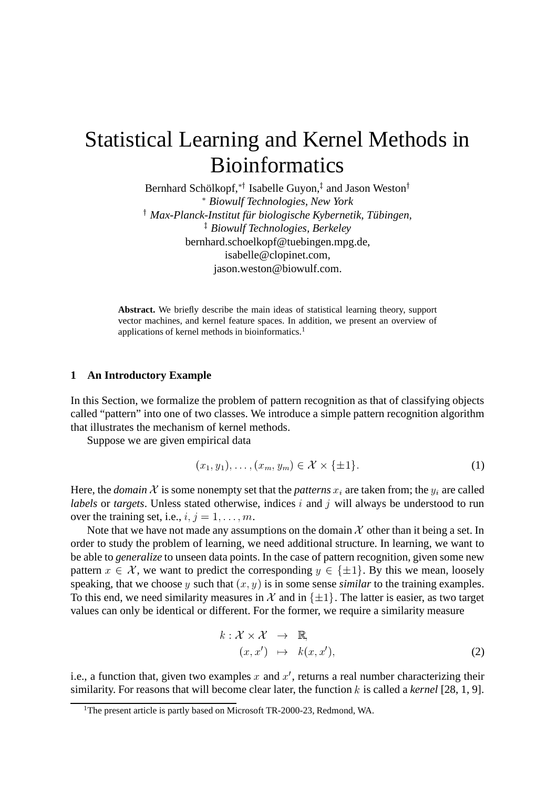# Statistical Learning and Kernel Methods in Bioinformatics

Bernhard Schölkopf,\*† Isabelle Guyon, $^\ddag$  and Jason Weston $^\dagger$  *Biowulf Technologies, New York Max-Planck-Institut fur¨ biologische Kybernetik, Tubing ¨ en, Biowulf Technologies, Berkeley* bernhard.schoelkopf@tuebingen.mpg.de, isabelle@clopinet.com, jason.weston@biowulf.com.

**Abstract.** We briefly describe the main ideas of statistical learning theory, support vector machines, and kernel feature spaces. In addition, we present an overview of applications of kernel methods in bioinformatics.<sup>1</sup>

## **1 An Introductory Example**

In this Section, we formalize the problem of pattern recognition as that of classifying objects called "pattern" into one of two classes. We introduce a simple pattern recognition algorithm that illustrates the mechanism of kernel methods.

Suppose we are given empirical data

$$
(x_1, y_1), \dots, (x_m, y_m) \in \mathcal{X} \times \{\pm 1\}.
$$
 (1)

Here, the *domain* X is some nonempty set that the *patterns*  $x_i$  are taken from; the  $y_i$  are called *labels* or *targets*. Unless stated otherwise, indices  $i$  and  $j$  will always be understood to run over the training set, i.e.,  $i, j = 1, \ldots, m$ .

Note that we have not made any assumptions on the domain  $\mathcal X$  other than it being a set. In order to study the problem of learning, we need additional structure. In learning, we want to be able to *generalize* to unseen data points. In the case of pattern recognition, given some new pattern  $x \in \mathcal{X}$ , we want to predict the corresponding  $y \in {\{\pm 1\}}$ . By this we mean, loosely speaking, that we choose  $y$  such that  $(x, y)$  is in some sense *similar* to the training examples. To this end, we need similarity measures in  $\mathcal X$  and in  $\{\pm 1\}$ . The latter is easier, as two target values can only be identical or different. For the former, we require a similarity measure

$$
k: \mathcal{X} \times \mathcal{X} \rightarrow \mathbb{R},
$$
  
\n
$$
(x, x') \mapsto k(x, x'),
$$
\n(2)

i.e., a function that, given two examples x and  $x'$ , returns a real number characterizing their similarity. For reasons that will become clear later, the function  $k$  is called a *kernel* [28, 1, 9].

<sup>&</sup>lt;sup>1</sup>The present article is partly based on Microsoft TR-2000-23, Redmond, WA.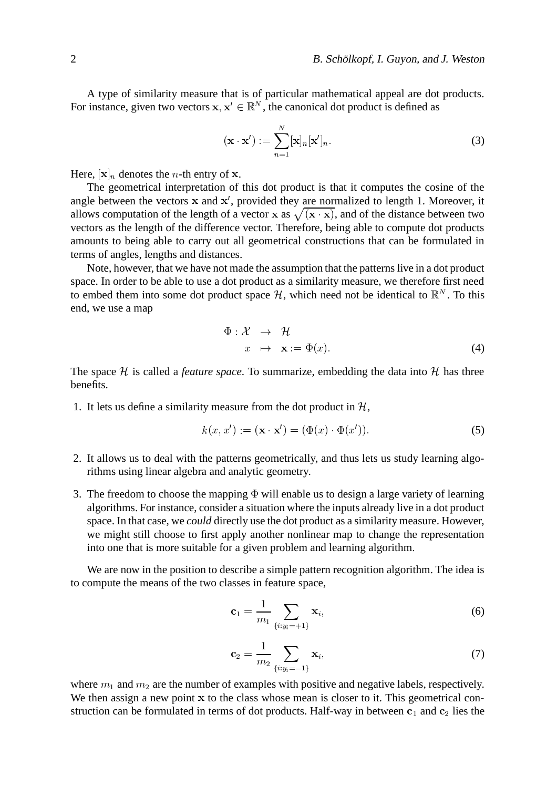A type of similarity measure that is of particular mathematical appeal are dot products. For instance, given two vectors  $x, x' \in \mathbb{R}^N$ , the canonical dot product is defined as

$$
(\mathbf{x} \cdot \mathbf{x}') := \sum_{n=1}^{N} [\mathbf{x}]_n [\mathbf{x}']_n.
$$
 (3)

Here,  $[x]_n$  denotes the *n*-th entry of x.

The geometrical interpretation of this dot product is that it computes the cosine of the angle between the vectors  $x$  and  $x'$ , provided they are normalized to length 1. Moreover, it allows computation of the length of a vector x as  $\sqrt{(x \cdot x)}$ , and of the distance between two vectors as the length of the difference vector. Therefore, being able to compute dot products amounts to being able to carry out all geometrical constructions that can be formulated in terms of angles, lengths and distances.

Note, however, that we have not made the assumption that the patternslive in a dot product space. In order to be able to use a dot product as a similarity measure, we therefore first need to embed them into some dot product space H, which need not be identical to  $\mathbb{R}^N$ . To this end, we use a map

$$
\Phi: \mathcal{X} \to \mathcal{H}
$$
  

$$
x \mapsto \mathbf{x} := \Phi(x). \tag{4}
$$

The space  $H$  is called a *feature space*. To summarize, embedding the data into  $H$  has three benefits.

1. It lets us define a similarity measure from the dot product in  $H$ ,  $\cdot$  production  $\theta$ 

$$
k(x, x') := (\mathbf{x} \cdot \mathbf{x}') = (\Phi(x) \cdot \Phi(x')).
$$
\n(5)

- 2. It allows us to deal with the patterns geometrically, and thus lets us study learning algorithms using linear algebra and analytic geometry.
- 3. The freedom to choose the mapping  $\Phi$  will enable us to design a large variety of learning algorithms. For instance, consider a situation where the inputs already live in a dot product space. In that case, we *could* directly use the dot product as a similarity measure. However, we might still choose to first apply another nonlinear map to change the representation into one that is more suitable for a given problem and learning algorithm.

We are now in the position to describe a simple pattern recognition algorithm. The idea is to compute the means of the two classes in feature space,

#

$$
\mathbf{c}_1 = \frac{1}{m_1} \sum_{\{i:y_i = +1\}} \mathbf{x}_i,\tag{6}
$$

$$
\mathbf{c}_2 = \frac{1}{m_2} \sum_{\{i:y_i = -1\}} \mathbf{x}_i,\tag{7}
$$

where  $m_1$  and  $m_2$  are the number of examples with positive and negative labels, respectively. We then assign a new point  $x$  to the class whose mean is closer to it. This geometrical construction can be formulated in terms of dot products. Half-way in between  $c_1$  and  $c_2$  lies the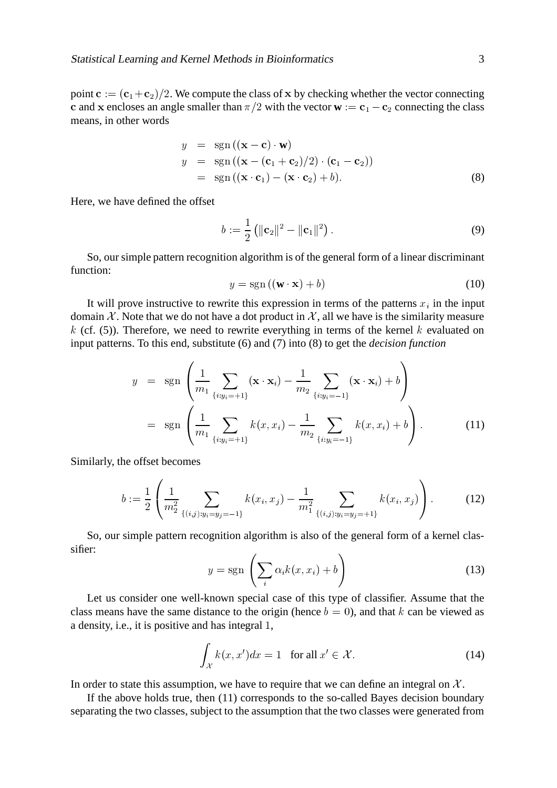point  $c := (c_1+c_2)/2$ . We compute the class of x by checking whether the vector connecting c and x encloses an angle smaller than  $\pi/2$  with the vector  $\mathbf{w} := \mathbf{c}_1 - \mathbf{c}_2$  connecting the class means, in other words

$$
y = \text{sgn}((\mathbf{x} - \mathbf{c}) \cdot \mathbf{w})
$$
  
\n
$$
y = \text{sgn}((\mathbf{x} - (\mathbf{c}_1 + \mathbf{c}_2)/2) \cdot (\mathbf{c}_1 - \mathbf{c}_2))
$$
  
\n
$$
= \text{sgn}((\mathbf{x} \cdot \mathbf{c}_1) - (\mathbf{x} \cdot \mathbf{c}_2) + b).
$$
 (8)

Here, we have defined the offset

$$
b := \frac{1}{2} (||\mathbf{c}_2||^2 - ||\mathbf{c}_1||^2).
$$
 (9)

So, our simple pattern recognition algorithm is of the general form of a linear discriminant function:

$$
y = sgn((\mathbf{w} \cdot \mathbf{x}) + b)
$$
 (10)

It will prove instructive to rewrite this expression in terms of the patterns  $x_i$  in the input domain X. Note that we do not have a dot product in X, all we have is the similarity measure k (cf.  $(5)$ ). Therefore, we need to rewrite everything in terms of the kernel k evaluated on input patterns. To this end, substitute (6) and (7) into (8) to get the *decision function*

$$
y = \operatorname{sgn}\left(\frac{1}{m_1} \sum_{\{i: y_i = +1\}} (\mathbf{x} \cdot \mathbf{x}_i) - \frac{1}{m_2} \sum_{\{i: y_i = -1\}} (\mathbf{x} \cdot \mathbf{x}_i) + b\right)
$$
  

$$
= \operatorname{sgn}\left(\frac{1}{m_1} \sum_{\{i: y_i = +1\}} k(x, x_i) - \frac{1}{m_2} \sum_{\{i: y_i = -1\}} k(x, x_i) + b\right).
$$
(11)

Similarly, the offset becomes

$$
b := \frac{1}{2} \left( \frac{1}{m_2^2} \sum_{\{(i,j): y_i = y_j = -1\}} k(x_i, x_j) - \frac{1}{m_1^2} \sum_{\{(i,j): y_i = y_j = +1\}} k(x_i, x_j) \right).
$$
 (12)

So, our simple pattern recognition algorithm is also of the general form of a kernel classifier:

$$
y = \text{sgn}\left(\sum_{i} \alpha_{i} k(x, x_{i}) + b\right)
$$
 (13)

Let us consider one well-known special case of this type of classifier. Assume that the class means have the same distance to the origin (hence  $b = 0$ ), and that k can be viewed as a density, i.e., it is positive and has integral 1,

$$
\int_{\mathcal{X}} k(x, x') dx = 1 \quad \text{for all } x' \in \mathcal{X}.
$$
\n(14)

In order to state this assumption, we have to require that we can define an integral on  $\mathcal{X}$ .

If the above holds true, then (11) corresponds to the so-called Bayes decision boundary separating the two classes, subject to the assumption that the two classes were generated from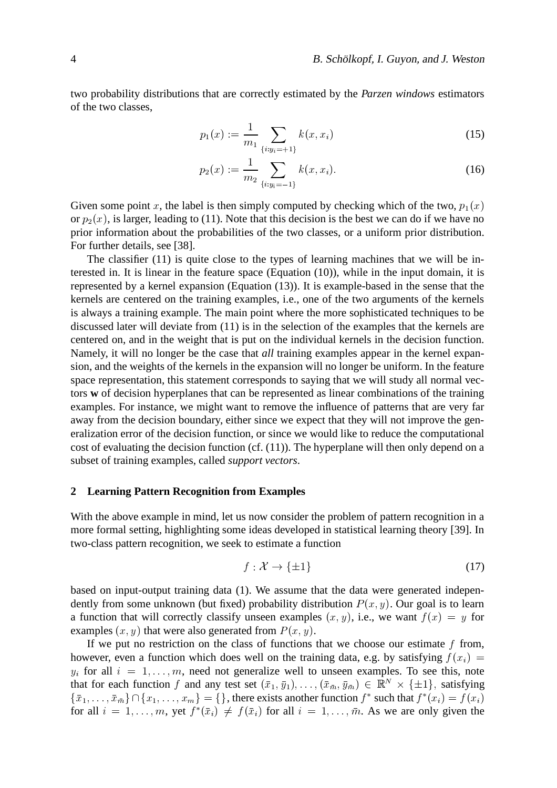two probability distributions that are correctly estimated by the *Parzen windows* estimators of the two classes,

$$
p_1(x) := \frac{1}{m_1} \sum_{\{i: y_i = +1\}} k(x, x_i)
$$
 (15)

$$
p_2(x) := \frac{1}{m_2} \sum_{\{i:y_i = -1\}} k(x, x_i). \tag{16}
$$

Given some point x, the label is then simply computed by checking which of the two,  $p_1(x)$ or  $p_2(x)$ , is larger, leading to (11). Note that this decision is the best we can do if we have no prior information about the probabilities of the two classes, or a uniform prior distribution. For further details, see [38].

The classifier (11) is quite close to the types of learning machines that we will be interested in. It is linear in the feature space (Equation (10)), while in the input domain, it is represented by a kernel expansion (Equation (13)). It is example-based in the sense that the kernels are centered on the training examples, i.e., one of the two arguments of the kernels is always a training example. The main point where the more sophisticated techniques to be discussed later will deviate from (11) is in the selection of the examples that the kernels are centered on, and in the weight that is put on the individual kernels in the decision function. Namely, it will no longer be the case that *all* training examples appear in the kernel expansion, and the weights of the kernels in the expansion will no longer be uniform. In the feature space representation, this statement corresponds to saying that we will study all normal vectors **w** of decision hyperplanes that can be represented as linear combinations of the training examples. For instance, we might want to remove the influence of patterns that are very far away from the decision boundary, either since we expect that they will not improve the generalization error of the decision function, or since we would like to reduce the computational cost of evaluating the decision function (cf. (11)). The hyperplane will then only depend on a subset of training examples, called *support vectors*.

## **2 Learning Pattern Recognition from Examples**

With the above example in mind, let us now consider the problem of pattern recognition in a more formal setting, highlighting some ideas developed in statistical learning theory [39]. In two-class pattern recognition, we seek to estimate a function

$$
f: \mathcal{X} \to \{\pm 1\} \tag{17}
$$

based on input-output training data (1). We assume that the data were generated independently from some unknown (but fixed) probability distribution  $P(x, y)$ . Our goal is to learn a function that will correctly classify unseen examples  $(x, y)$ , i.e., we want  $f(x) = y$  for examples  $(x, y)$  that were also generated from  $P(x, y)$ .

If we put no restriction on the class of functions that we choose our estimate  $f$  from, however, even a function which does well on the training data, e.g. by satisfying  $f(x_i) =$  $y_i$  for all  $i = 1, \ldots, m$ , need not generalize well to unseen examples. To see this, note that for each function f and any test set  $(\bar{x}_1, \bar{y}_1), \ldots, (\bar{x}_{\bar{m}}, \bar{y}_{\bar{m}}) \in \mathbb{R}^N \times \{\pm 1\}$ , satisfying  $\mathcal{L} = \{ \mathcal{L} \mid \mathcal{L} = \mathcal{L} \}$  . The contract of the contract of the contract of the contract of the contract of the contract of the contract of the contract of the contract of the contract of the contract of the cont \*\*\*\*\*\*\*\*\*\*\*\*  $\{\},$  there exists another function  $f^*$  such that  $f^*(x_i) = f(x_i)$ for all  $i = 1, \ldots, m$ , yet  $f^*(\bar{x}_i) \neq f(\bar{x}_i)$  for all  $i = 1, \ldots, \bar{m}$ . As we are only given the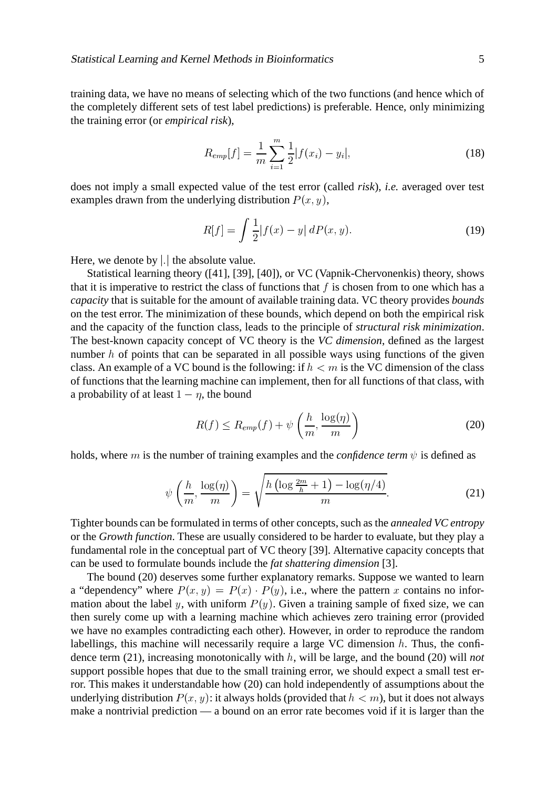training data, we have no means of selecting which of the two functions (and hence which of the completely different sets of test label predictions) is preferable. Hence, only minimizing the training error (or *empirical risk*),

$$
R_{emp}[f] = \frac{1}{m} \sum_{i=1}^{m} \frac{1}{2} |f(x_i) - y_i|,
$$
\n(18)

does not imply a small expected value of the test error (called *risk*), *i.e.* averaged over test examples drawn from the underlying distribution  $P(x, y)$ ,

$$
R[f] = \int \frac{1}{2} |f(x) - y| \, dP(x, y). \tag{19}
$$

Here, we denote by | | | 1 the absolute value.

Statistical learning theory ([41], [39], [40]), or VC (Vapnik-Chervonenkis) theory, shows that it is imperative to restrict the class of functions that  $f$  is chosen from to one which has a *capacity* that is suitable for the amount of available training data. VC theory provides *bounds* on the test error. The minimization of these bounds, which depend on both the empirical risk and the capacity of the function class, leads to the principle of *structural risk minimization*. The best-known capacity concept of VC theory is the *VC dimension*, defined as the largest number  $h$  of points that can be separated in all possible ways using functions of the given class. An example of a VC bound is the following: if  $h < m$  is the VC dimension of the class of functions that the learning machine can implement, then for all functions of that class, with a probability of at least  $1 - \eta$ , the bound

$$
R(f) \le R_{emp}(f) + \psi\left(\frac{h}{m}, \frac{\log(\eta)}{m}\right) \tag{20}
$$

holds, where  $m$  is the number of training examples and the *confidence term*  $\psi$  is defined as

$$
\psi\left(\frac{h}{m}, \frac{\log(\eta)}{m}\right) = \sqrt{\frac{h\left(\log\frac{2m}{h} + 1\right) - \log(\eta/4)}{m}}.\tag{21}
$$

Tighter bounds can be formulated in terms of other concepts, such as the *annealed VC entropy* or the *Growth function*. These are usually considered to be harder to evaluate, but they play a fundamental role in the conceptual part of VC theory [39]. Alternative capacity concepts that can be used to formulate bounds include the *fat shattering dimension* [3].

The bound (20) deserves some further explanatory remarks. Suppose we wanted to learn a "dependency" where  $P(x, y) = P(x)$ 3 4 \* -  $(x) \cdot P(y)$ , i.e., where the pattern x contains no information about the label y, with uniform  $P(y)$ . Given a training sample of fixed size, we can then surely come up with a learning machine which achieves zero training error (provided we have no examples contradicting each other). However, in order to reproduce the random labellings, this machine will necessarily require a large VC dimension  $h$ . Thus, the confidence term (21), increasing monotonically with h, will be large, and the bound (20) will *not* support possible hopes that due to the small training error, we should expect a small test error. This makes it understandable how (20) can hold independently of assumptions about the underlying distribution  $P(x, y)$ : it always holds (provided that  $h < m$ ), but it does not always make a nontrivial prediction — a bound on an error rate becomes void if it is larger than the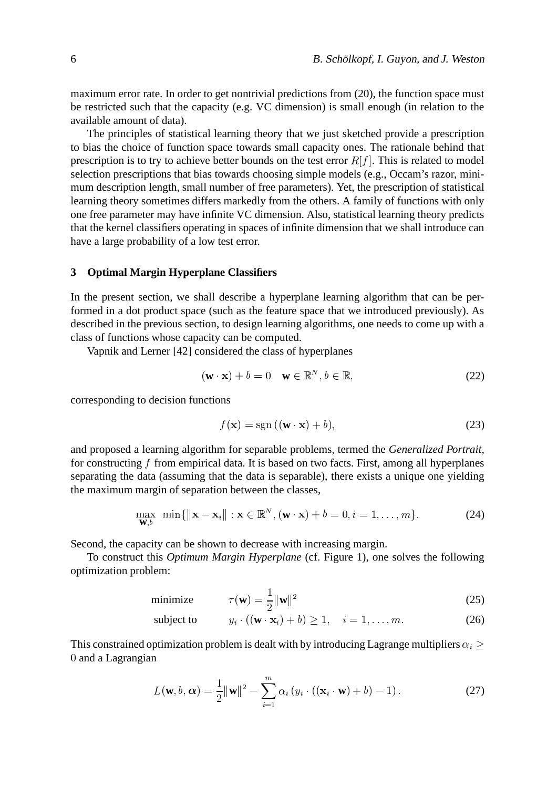maximum error rate. In order to get nontrivial predictions from (20), the function space must be restricted such that the capacity (e.g. VC dimension) is small enough (in relation to the available amount of data).

The principles of statistical learning theory that we just sketched provide a prescription to bias the choice of function space towards small capacity ones. The rationale behind that prescription is to try to achieve better bounds on the test error  $R[f]$ . This is related to model selection prescriptions that bias towards choosing simple models (e.g., Occam's razor, minimum description length, small number of free parameters). Yet, the prescription of statistical learning theory sometimes differs markedly from the others. A family of functions with only one free parameter may have infinite VC dimension. Also, statistical learning theory predicts that the kernel classifiers operating in spaces of infinite dimension that we shall introduce can have a large probability of a low test error.

## **3 Optimal Margin Hyperplane Classifiers**

In the present section, we shall describe a hyperplane learning algorithm that can be performed in a dot product space (such as the feature space that we introduced previously). As described in the previous section, to design learning algorithms, one needs to come up with a class of functions whose capacity can be computed.

Vapnik and Lerner [42] considered the class of hyperplanes

$$
(\mathbf{w} \cdot \mathbf{x}) + b = 0 \quad \mathbf{w} \in \mathbb{R}^N, b \in \mathbb{R}, \tag{22}
$$

corresponding to decision functions

$$
f(\mathbf{x}) = sgn((\mathbf{w} \cdot \mathbf{x}) + b), \tag{23}
$$

and proposed a learning algorithm for separable problems, termed the *Generalized Portrait*, for constructing  $f$  from empirical data. It is based on two facts. First, among all hyperplanes separating the data (assuming that the data is separable), there exists a unique one yielding the maximum margin of separation between the classes,

$$
\max_{\mathbf{W},b} \ \min\{\|\mathbf{x} - \mathbf{x}_i\| : \mathbf{x} \in \mathbb{R}^N, (\mathbf{w} \cdot \mathbf{x}) + b = 0, i = 1,\dots, m\}.
$$
 (24)

Second, the capacity can be shown to decrease with increasing margin.

To construct this *Optimum Margin Hyperplane* (cf. Figure 1), one solves the following optimization problem:

minimize 
$$
\tau(\mathbf{w}) = \frac{1}{2} ||\mathbf{w}||^2
$$
 (25)

subject to 
$$
y_i \cdot ((\mathbf{w} \cdot \mathbf{x}_i) + b) \ge 1, \quad i = 1, ..., m.
$$
 (26)

This constrained optimization problem is dealt with by introducing Lagrange multipliers  $\alpha_i \geq 0$ 0 and a Lagrangian

$$
L(\mathbf{w}, b, \alpha) = \frac{1}{2} ||\mathbf{w}||^2 - \sum_{i=1}^{m} \alpha_i (y_i \cdot ((\mathbf{x}_i \cdot \mathbf{w}) + b) - 1).
$$
 (27)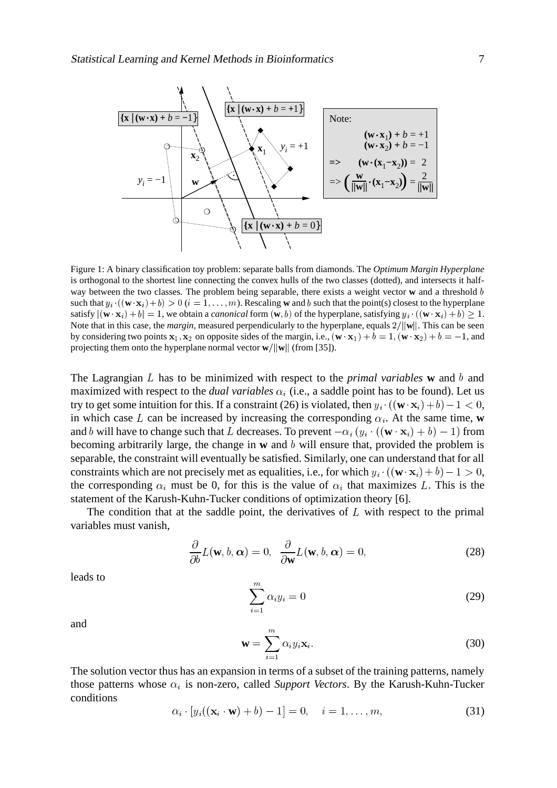

Figure 1: A binary classification toy problem: separate balls from diamonds. The *Optimum Margin Hyperplane* is orthogonal to the shortest line connecting the convex hulls of the two classes (dotted), and intersects it halfway between the two classes. The problem being separable, there exists a weight vector **w** and a threshold b such that  $y_i \cdot ((\mathbf{w} \cdot \mathbf{x}_i) + b) > 0$  ( $i = 1, \dots, m$ ). Rescaling **w** and b such that the point(s) closest to the hyperplane satisfy  $|\langle \mathbf{w} \cdot \mathbf{x}_i \rangle + b| = 1$ , we obtain a *canonical* form  $(\mathbf{w}, b)$  of the hyperplane, satisfying  $y_i \cdot ((\mathbf{w} \cdot \mathbf{x}_i) + b) \ge 1$ . Note that in this case, the *margin*, measured perpendicularly to the hyperplane, equals  $2/||w||$ . This can be seen by considering two points  $x_1, x_2$  on opposite sides of the margin, i.e.,  $(\mathbf{w} \cdot \mathbf{x}_1) + b = 1$ ,  $(\mathbf{w} \cdot \mathbf{x}_2) + b = -1$ , and projecting them onto the hyperplane normal vector  $\mathbf{w}/\|\mathbf{w}\|$  (from [35]).

The Lagrangian  $L$  has to be minimized with respect to the *primal variables*  $\bf{w}$  and  $\bf{b}$  and maximized with respect to the *dual variables*  $\alpha_i$  (i.e., a saddle point has to be found). Let us try to get some intuition for this. If a constraint (26) is violated, then  $y_i \cdot ((\mathbf{w} \cdot \mathbf{x}_i) + b) - 1 < 0$ , in which case L can be increased by increasing the corresponding  $\alpha_i$ . At the same time, **w** and b will have to change such that L decreases. To prevent  $-\alpha_i(y_i\cdot ((\mathbf{w}\cdot\mathbf{x}_i)+b)-1)$  from becoming arbitrarily large, the change in **w** and b will ensure that, provided the problem is separable, the constraint will eventually be satisfied. Similarly, one can understand that for all constraints which are not precisely met as equalities, i.e., for which  $y_i \cdot ((\mathbf{w} \cdot \mathbf{x}_i) + b) - 1 > 0$ , the corresponding  $\alpha_i$  must be 0, for this is the value of  $\alpha_i$  that maximizes L. This is the statement of the Karush-Kuhn-Tucker conditions of optimization theory [6].

The condition that at the saddle point, the derivatives of  $L$  with respect to the primal variables must vanish, <sup>6</sup>

$$
\frac{\partial}{\partial b}L(\mathbf{w}, b, \alpha) = 0, \quad \frac{\partial}{\partial \mathbf{w}}L(\mathbf{w}, b, \alpha) = 0,
$$
\n(28)

leads to

$$
\sum_{i=1}^{m} \alpha_i y_i = 0 \tag{29}
$$

and

$$
\mathbf{w} = \sum_{i=1}^{m} \alpha_i y_i \mathbf{x}_i.
$$
 (30)

The solution vector thus has an expansion in terms of a subset of the training patterns, namely those patterns whose  $\alpha_i$  is non-zero, called *Support Vectors*. By the Karush-Kuhn-Tucker conditions

$$
\alpha_i \cdot [y_i((\mathbf{x}_i \cdot \mathbf{w}) + b) - 1] = 0, \quad i = 1, \dots, m,
$$
\n(31)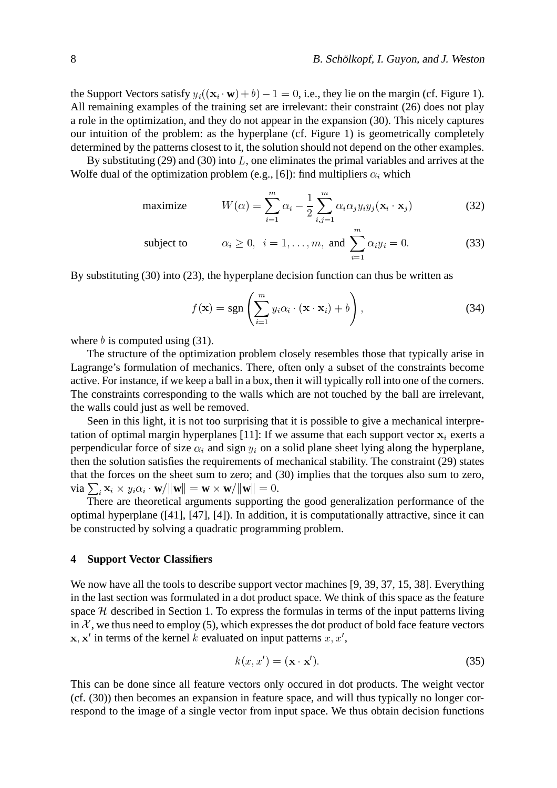the Support Vectors satisfy  $y_i((\mathbf{x}_i \cdot \mathbf{w}) + b) - 1 = 0$ , i.e., they lie on the margin (cf. Figure 1). All remaining examples of the training set are irrelevant: their constraint (26) does not play a role in the optimization, and they do not appear in the expansion (30). This nicely captures our intuition of the problem: as the hyperplane (cf. Figure 1) is geometrically completely determined by the patterns closest to it, the solution should not depend on the other examples.

By substituting (29) and (30) into  $L$ , one eliminates the primal variables and arrives at the Wolfe dual of the optimization problem (e.g., [6]): find multipliers  $\alpha_i$  which

maximize 
$$
W(\alpha) = \sum_{i=1}^{m} \alpha_i - \frac{1}{2} \sum_{i,j=1}^{m} \alpha_i \alpha_j y_i y_j (\mathbf{x}_i \cdot \mathbf{x}_j)
$$
 (32)

subject to 
$$
\alpha_i \geq 0, \quad i = 1, ..., m, \text{ and } \sum_{i=1}^m \alpha_i y_i = 0.
$$
 (33)

By substituting (30) into (23), the hyperplane decision function can thus be written as

$$
f(\mathbf{x}) = \text{sgn}\left(\sum_{i=1}^{m} y_i \alpha_i \cdot (\mathbf{x} \cdot \mathbf{x}_i) + b\right),\tag{34}
$$

where  $b$  is computed using (31).

The structure of the optimization problem closely resembles those that typically arise in Lagrange's formulation of mechanics. There, often only a subset of the constraints become active. For instance, if we keep a ball in a box, then it will typically roll into one of the corners. The constraints corresponding to the walls which are not touched by the ball are irrelevant, the walls could just as well be removed.

Seen in this light, it is not too surprising that it is possible to give a mechanical interpretation of optimal margin hyperplanes [11]: If we assume that each support vector  $x_i$  exerts a perpendicular force of size  $\alpha_i$  and sign  $y_i$  on a solid plane sheet lying along the hyperplane, then the solution satisfies the requirements of mechanical stability. The constraint (29) states that the forces on the sheet sum to zero; and (30) implies that the torques also sum to zero, via  $\sum_i \mathbf{x}_i \times y_i \alpha_i \cdot \mathbf{w}/\|\mathbf{w}\|$  $\mathbf{w} \cdot \mathbf{w}/\|\mathbf{w}\| = \mathbf{w} \times \mathbf{w}/\|\mathbf{w}\| = 0.$ 

There are theoretical arguments supporting the good generalization performance of the optimal hyperplane ([41], [47], [4]). In addition, it is computationally attractive, since it can be constructed by solving a quadratic programming problem.

#### **4 Support Vector Classifiers**

We now have all the tools to describe support vector machines [9, 39, 37, 15, 38]. Everything in the last section was formulated in a dot product space. We think of this space as the feature space  $H$  described in Section 1. To express the formulas in terms of the input patterns living in  $\mathcal{X}$ , we thus need to employ (5), which expresses the dot product of bold face feature vectors  $x, x'$  in terms of the kernel k evaluated on input patterns  $x, x'$ ,

$$
k(x, x') = (\mathbf{x} \cdot \mathbf{x}'). \tag{35}
$$

This can be done since all feature vectors only occured in dot products. The weight vector (cf. (30)) then becomes an expansion in feature space, and will thus typically no longer correspond to the image of a single vector from input space. We thus obtain decision functions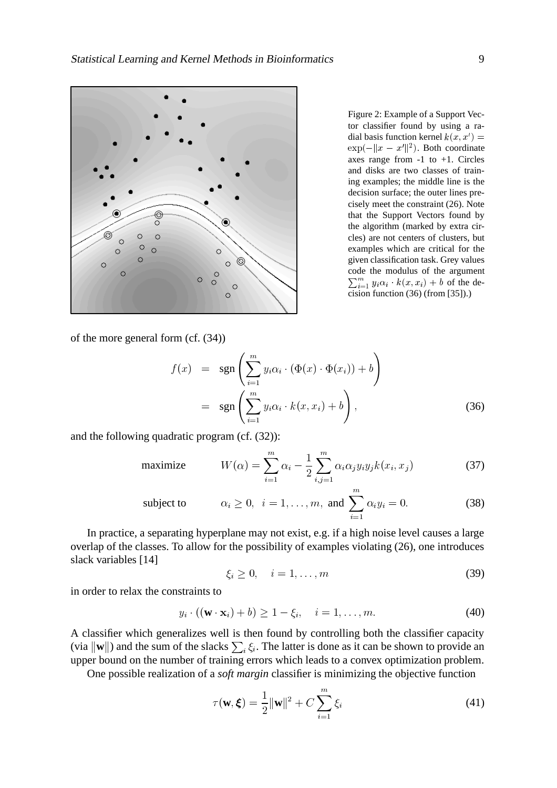

Figure 2: Example of a Support Vector classifier found by using a radial basis function kernel  $k(x, x') =$  $\exp(-\|x-x'\|^2)$ . Both coordinate axes range from  $-1$  to  $+1$ . Circles and disks are two classes of training examples; the middle line is the decision surface; the outer lines precisely meet the constraint (26). Note that the Support Vectors found by the algorithm (marked by extra circles) are not centers of clusters, but examples which are critical for the given classification task. Grey values code the modulus of the argument  $\sum_{i=1}^{m} y_i \alpha_i \cdot k(x, x_i) + b$  of the decision function (36) (from [35]).)

of the more general form (cf. (34))

$$
f(x) = \operatorname{sgn}\left(\sum_{i=1}^{m} y_i \alpha_i \cdot (\Phi(x) \cdot \Phi(x_i)) + b\right)
$$
  
= 
$$
\operatorname{sgn}\left(\sum_{i=1}^{m} y_i \alpha_i \cdot k(x, x_i) + b\right),
$$
 (36)

and the following quadratic program (cf. (32)):

maximize 
$$
W(\alpha) = \sum_{i=1}^{m} \alpha_i - \frac{1}{2} \sum_{i,j=1}^{m} \alpha_i \alpha_j y_i y_j k(x_i, x_j)
$$
 (37)

subject to 
$$
\alpha_i \ge 0, \quad i = 1, ..., m, \text{ and } \sum_{i=1}^m \alpha_i y_i = 0.
$$
 (38)

In practice, a separating hyperplane may not exist, e.g. if a high noise level causes a large overlap of the classes. To allow for the possibility of examples violating (26), one introduces slack variables [14]

$$
\xi_i \geq 0, \quad i = 1, \dots, m \tag{39}
$$

in order to relax the constraints to

$$
y_i \cdot ((\mathbf{w} \cdot \mathbf{x}_i) + b) \ge 1 - \xi_i, \quad i = 1, \dots, m. \tag{40}
$$

A classifier which generalizes well is then found by controlling both the classifier capacity (via  $\|\mathbf{w}\|$ ) and the sum of the slacks  $\sum_i \xi_i$ . The latter is done as it can be shown to provide an upper bound on the number of training errors which leads to a convex optimization problem.

One possible realization of a *soft margin* classifier is minimizing the objective function

$$
\tau(\mathbf{w}, \boldsymbol{\xi}) = \frac{1}{2} ||\mathbf{w}||^2 + C \sum_{i=1}^{m} \xi_i
$$
\n(41)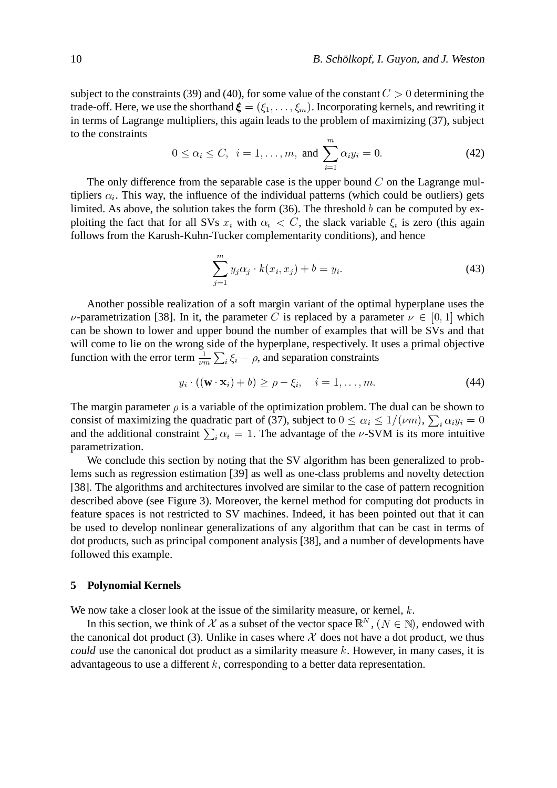subject to the constraints (39) and (40), for some value of the constant  $C > 0$  determining the trade-off. Here, we use the shorthand  $\boldsymbol{\xi} = (\xi_1, \dots, \xi_m)$ . Incorporating kernels, and rewriting it in terms of Lagrange multipliers, this again leads to the problem of maximizing (37), subject to the constraints

$$
0 \le \alpha_i \le C, \ \ i = 1, ..., m, \text{ and } \sum_{i=1}^{m} \alpha_i y_i = 0.
$$
 (42)

The only difference from the separable case is the upper bound  $C$  on the Lagrange multipliers  $\alpha_i$ . This way, the influence of the individual patterns (which could be outliers) gets limited. As above, the solution takes the form  $(36)$ . The threshold b can be computed by exploiting the fact that for all SVs  $x_i$  with  $\alpha_i < C$ , the slack variable  $\xi_i$  is zero (this again follows from the Karush-Kuhn-Tucker complementarity conditions), and hence

$$
\sum_{j=1}^{m} y_j \alpha_j \cdot k(x_i, x_j) + b = y_i.
$$
 (43)

Another possible realization of a soft margin variant of the optimal hyperplane uses the  $\nu$ -parametrization [38]. In it, the parameter C is replaced by a parameter  $\nu \in [0,1]$  whi  $, 1]$  which can be shown to lower and upper bound the number of examples that will be SVs and that will come to lie on the wrong side of the hyperplane, respectively. It uses a primal objective function with the error term  $\frac{1}{\mu m} \sum_{i} \xi_i - \rho$ , and separation constraints

$$
y_i \cdot ((\mathbf{w} \cdot \mathbf{x}_i) + b) \ge \rho - \xi_i, \quad i = 1, \dots, m. \tag{44}
$$

The margin parameter  $\rho$  is a variable of the optimization problem. The dual can be shown to consist of maximizing the quadratic part of (37), subject to  $0 \leq \alpha_i \leq 1/(\nu r)$  $_{i}\leq1/(\nu m),$   $\sum_{i}\alpha_{i}y_{i}=0$ and the additional constraint  $\sum_i \alpha_i =$ \* 1. The advantage of the  $\nu$ -SVM is its more intuitive parametrization.

We conclude this section by noting that the SV algorithm has been generalized to problems such as regression estimation [39] as well as one-class problems and novelty detection [38]. The algorithms and architectures involved are similar to the case of pattern recognition described above (see Figure 3). Moreover, the kernel method for computing dot products in feature spaces is not restricted to SV machines. Indeed, it has been pointed out that it can be used to develop nonlinear generalizations of any algorithm that can be cast in terms of dot products, such as principal component analysis [38], and a number of developments have followed this example.

#### **5 Polynomial Kernels**

We now take a closer look at the issue of the similarity measure, or kernel,  $k$ .

In this section, we think of X as a subset of the vector space  $\mathbb{R}^N$ ,  $(N \in \mathbb{N})$ , endowed with the canonical dot product (3). Unlike in cases where  $\mathcal X$  does not have a dot product, we thus *could* use the canonical dot product as a similarity measure  $k$ . However, in many cases, it is advantageous to use a different  $k$ , corresponding to a better data representation.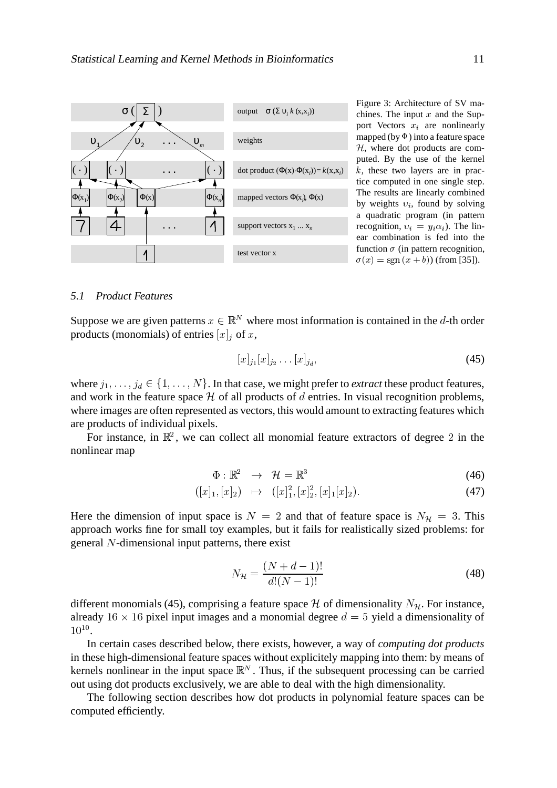

Figure 3: Architecture of SV machines. The input  $x$  and the Support Vectors  $x_i$  are nonlinearly mapped (by  $\Phi$ ) into a feature space  $H$ , where dot products are computed. By the use of the kernel  $k$ , these two layers are in practice computed in one single step. The results are linearly combined by weights  $v_i$ , found by solving a quadratic program (in pattern recognition,  $v_i = y_i \alpha_i$ ). The linear combination is fed into the function  $\sigma$  (in pattern recognition,  $\sigma(x) = \text{sgn}(x + b)$  (from [35]).

## *5.1 Product Features*

Suppose we are given patterns  $x \in \mathbb{R}^N$  where most information is contained in the d-th order products (monomials) of entries  $[x]_j$  of  $x$ ,

$$
[x]_{j_1}[x]_{j_2}\dots[x]_{j_d},\tag{45}
$$

where  $j_1, \ldots, j_d \in \{1, \ldots, N\}$ . In that case, we might prefer to *extract* these product features, and work in the feature space  $H$  of all products of  $d$  entries. In visual recognition problems, where images are often represented as vectors, this would amount to extracting features which are products of individual pixels.

For instance, in  $\mathbb{R}^2$ , we can collect all monomial feature extractors of degree 2 in the nonlinear map

$$
\Phi: \mathbb{R}^2 \to \mathcal{H} = \mathbb{R}^3 \tag{46}
$$

$$
([x]_1, [x]_2) \mapsto ([x]_1^2, [x]_2^2, [x]_1[x]_2). \tag{47}
$$

Here the dimension of input space is  $N = 2$  and that 2 and that of feature space is  $N_{\mathcal{H}} = 3$ . This approach works fine for small toy examples, but it fails for realistically sized problems: for general N-dimensional input patterns, there exist

$$
N_{\mathcal{H}} = \frac{(N+d-1)!}{d!(N-1)!} \tag{48}
$$

different monomials (45), comprising a feature space  $H$  of dimensionality  $N_H$ . For instance, already  $16 \times 16$  pixel input images and a monomial degree  $d = 5$  yield a dimensionality of #  $0^{10}$ .

In certain cases described below, there exists, however, a way of *computing dot products* in these high-dimensional feature spaces without explicitely mapping into them: by means of kernels nonlinear in the input space  $\mathbb{R}^N$ . Thus, if the subsequent processing can be carried out using dot products exclusively, we are able to deal with the high dimensionality.

The following section describes how dot products in polynomial feature spaces can be computed efficiently.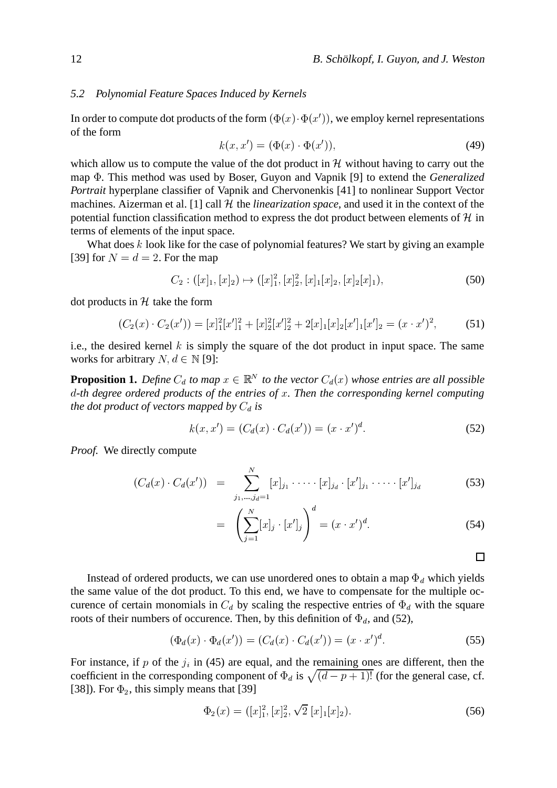#### *5.2 Polynomial Feature Spaces Induced by Kernels*

In order to compute dot products of the form  $(\Phi(x)\cdot\Phi(x'))$  $(x) \cdot \Phi(x'))$ , we employ kernel representations of the form  $\mathcal{F}(h)$ 

$$
k(x, x') = (\Phi(x) \cdot \Phi(x')), \qquad (49)
$$

which allow us to compute the value of the dot product in  $H$  without having to carry out the map  $\Phi$ . This method was used by Boser, Guyon and Vapnik [9] to extend the *Generalized* . This method was used by Boser, Guyon and Vapnik [9] to extend the *Generalized Portrait* hyperplane classifier of Vapnik and Chervonenkis [41] to nonlinear Support Vector machines. Aizerman et al. [1] call  $H$  the *linearization space*, and used it in the context of the potential function classification method to express the dot product between elements of  $\mathcal{H}$  in terms of elements of the input space.

What does  $k$  look like for the case of polynomial features? We start by giving an example [39] for  $N = d = 2$ . For t - - - - - - - -. For the map

$$
C_2: ([x]_1, [x]_2) \mapsto ([x]_1^2, [x]_2^2, [x]_1[x]_2, [x]_2[x]_1), \tag{50}
$$

dot products in  $H$  take the form

$$
(C_2(x) \cdot C_2(x')) = [x]_1^2 [x']_1^2 + [x]_2^2 [x']_2^2 + 2[x]_1 [x]_2 [x']_1 [x']_2 = (x \cdot x')^2,
$$
 (51)

i.e., the desired kernel  $k$  is simply the square of the dot product in input space. The same works for arbitrary  $N, d \in \mathbb{N}$  [9]:

**Proposition 1.** Define  $C_d$  to map  $x \in \mathbb{R}^N$  to the vector  $C_d(x)$  whose entries are all possible - *-th degree ordered products of the entries of . Then the corresponding kernel computing the dot product of vectors mapped by is*

$$
k(x, x') = (C_d(x) \cdot C_d(x')) = (x \cdot x')^d.
$$
 (52)

*Proof.* We directly compute

$$
(C_d(x) \cdot C_d(x')) = \sum_{j_1,\ldots,j_d=1}^N [x]_{j_1} \cdot \cdots \cdot [x]_{j_d} \cdot [x']_{j_1} \cdot \cdots \cdot [x']_{j_d}
$$
(53)

$$
= \left(\sum_{j=1}^{N} [x]_j \cdot [x']_j\right)^a = (x \cdot x')^d. \tag{54}
$$

 $\Box$ 

Instead of ordered products, we can use unordered ones to obtain a map  $\Phi_d$  which yields the same value of the dot product. To this end, we have to compensate for the multiple octhe same value of the dot product. To this end, we have to compensate for the multiple oc-<br>curence of certain monomials in  $C_d$  by scaling the respective entries of  $\Phi_d$  with the square<br>roots of their numbers of occurenc of occurence. Then, by this definition of  $\Phi_d$ , and (52),<br>  $(\Phi_d(x), \Phi_d(x)) = (G_d(x), G_d(x)) \times (G_d(x))$ 

$$
(\Phi_d(x) \cdot \Phi_d(x')) = (C_d(x) \cdot C_d(x')) = (x \cdot x')^d. \tag{55}
$$

For instance, if p of the  $j_i$  in (45) are equal, and the remaining ones are different, then the For instance, if p of the  $j_i$  in (45) are equal, and the remaining ones are different, then the coefficient in the corresponding component of  $\Phi_d$  is  $\sqrt{(d-p+1)!}$  (for the general case, cf. [38]). For  $\Phi_2$ , this simply  $_2$ , this simply means that [39]

$$
\Phi_2(x) = ([x]_1^2, [x]_2^2, \sqrt{2} [x]_1 [x]_2). \tag{56}
$$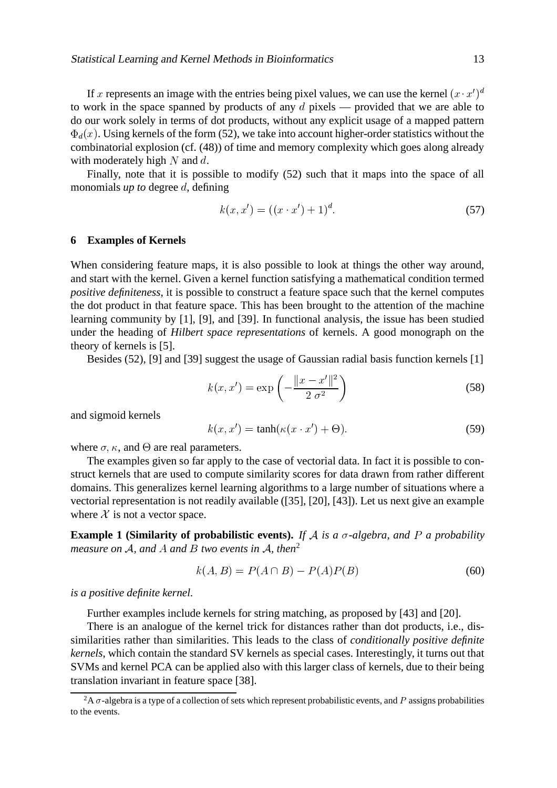If x represents an image with the entries being pixel values, we can use the kernel  $(x \cdot x')^d$ to work in the space spanned by products of any  $d$  pixels — provided that we are able to do our work solely in terms of dot products, without any explicit usage of a mapped pattern  $_{d}(x)$ . Using kernels of the form (52), we take into account higher-order statistics without the combinatorial explosion (cf. (48)) of time and memory complexity which goes along already with moderately high  $N$  and  $d$ .

Finally, note that it is possible to modify (52) such that it maps into the space of all monomials *up to* degree *d*, defining

$$
k(x, x') = ((x \cdot x') + 1)^d. \tag{57}
$$

#### **6 Examples of Kernels**

When considering feature maps, it is also possible to look at things the other way around, and start with the kernel. Given a kernel function satisfying a mathematical condition termed *positive definiteness*, it is possible to construct a feature space such that the kernel computes the dot product in that feature space. This has been brought to the attention of the machine learning community by [1], [9], and [39]. In functional analysis, the issue has been studied under the heading of *Hilbert space representations* of kernels. A good monograph on the theory of kernels is [5].

Besides (52), [9] and [39] suggest the usage of Gaussian radial basis function kernels [1]

$$
k(x, x') = \exp\left(-\frac{\|x - x'\|^2}{2\sigma^2}\right)
$$
\n
$$
(58)
$$

and sigmoid kernels

$$
k(x, x') = \tanh(\kappa(x \cdot x') + \Theta). \tag{59}
$$

where  $\sigma$ ,  $\kappa$ , and  $\Theta$  are real parameters.

The examples given so far apply to the case of vectorial data. In fact it is possible to construct kernels that are used to compute similarity scores for data drawn from rather different domains. This generalizes kernel learning algorithms to a large number of situations where a vectorial representation is not readily available ([35], [20], [43]). Let us next give an example where  $X$  is not a vector space.

**Example 1 (Similarity of probabilistic events).** If  $A$  is a  $\sigma$ -algebra, and  $P$  a probability *measure on A, and A and B two events in A, then<sup>2</sup>* 

$$
k(A, B) = P(A \cap B) - P(A)P(B)
$$
\n
$$
(60)
$$

*is a positive definite kernel.*

Further examples include kernels for string matching, as proposed by [43] and [20].

There is an analogue of the kernel trick for distances rather than dot products, i.e., dissimilarities rather than similarities. This leads to the class of *conditionally positive definite kernels*, which contain the standard SV kernels as special cases. Interestingly, it turns out that SVMs and kernel PCA can be applied also with this larger class of kernels, due to their being translation invariant in feature space [38].

<sup>&</sup>lt;sup>2</sup>A  $\sigma$ -algebra is a type of a collection of sets which represent probabilistic events, and P assigns probabilities to the events.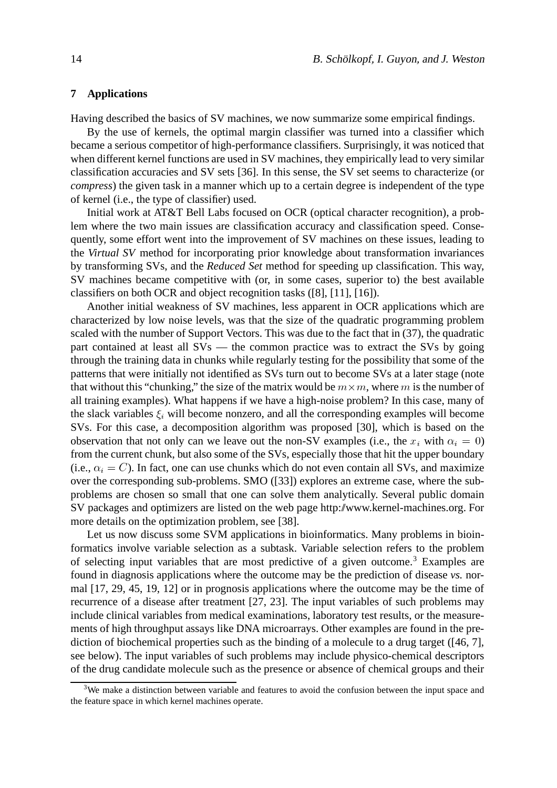### **7 Applications**

Having described the basics of SV machines, we now summarize some empirical findings.

By the use of kernels, the optimal margin classifier was turned into a classifier which became a serious competitor of high-performance classifiers. Surprisingly, it was noticed that when different kernel functions are used in SV machines, they empirically lead to very similar classification accuracies and SV sets [36]. In this sense, the SV set seems to characterize (or *compress*) the given task in a manner which up to a certain degree is independent of the type of kernel (i.e., the type of classifier) used.

Initial work at AT&T Bell Labs focused on OCR (optical character recognition), a problem where the two main issues are classification accuracy and classification speed. Consequently, some effort went into the improvement of SV machines on these issues, leading to the *Virtual SV* method for incorporating prior knowledge about transformation invariances by transforming SVs, and the *Reduced Set* method for speeding up classification. This way, SV machines became competitive with (or, in some cases, superior to) the best available classifiers on both OCR and object recognition tasks ([8], [11], [16]).

Another initial weakness of SV machines, less apparent in OCR applications which are characterized by low noise levels, was that the size of the quadratic programming problem scaled with the number of Support Vectors. This was due to the fact that in (37), the quadratic part contained at least all SVs — the common practice was to extract the SVs by going through the training data in chunks while regularly testing for the possibility that some of the patterns that were initially not identified as SVs turn out to become SVs at a later stage (note that without this "chunking," the size of the matrix would be  $m \times m$ , where m is the number of all training examples). What happens if we have a high-noise problem? In this case, many of the slack variables  $\xi_i$  will become nonzero, and all the corresponding examples will become SVs. For this case, a decomposition algorithm was proposed [30], which is based on the observation that not only can we leave out the non-SV examples (i.e., the  $x_i$  with  $\alpha_i = 0$ ) from the current chunk, but also some of the SVs, especially those that hit the upper boundary (i.e.,  $\alpha_i = C$ ). In fact, one can use chunks which do not even contain all SVs, and maximize over the corresponding sub-problems. SMO ([33]) explores an extreme case, where the subproblems are chosen so small that one can solve them analytically. Several public domain SV packages and optimizers are listed on the web page http://www.kernel-machines.org. For more details on the optimization problem, see [38].

Let us now discuss some SVM applications in bioinformatics. Many problems in bioinformatics involve variable selection as a subtask. Variable selection refers to the problem of selecting input variables that are most predictive of a given outcome.<sup>3</sup> Examples are found in diagnosis applications where the outcome may be the prediction of disease *vs.* normal [17, 29, 45, 19, 12] or in prognosis applications where the outcome may be the time of recurrence of a disease after treatment [27, 23]. The input variables of such problems may include clinical variables from medical examinations, laboratory test results, or the measurements of high throughput assays like DNA microarrays. Other examples are found in the prediction of biochemical properties such as the binding of a molecule to a drug target ([46, 7], see below). The input variables of such problems may include physico-chemical descriptors of the drug candidate molecule such as the presence or absence of chemical groups and their

<sup>&</sup>lt;sup>3</sup>We make a distinction between variable and features to avoid the confusion between the input space and the feature space in which kernel machines operate.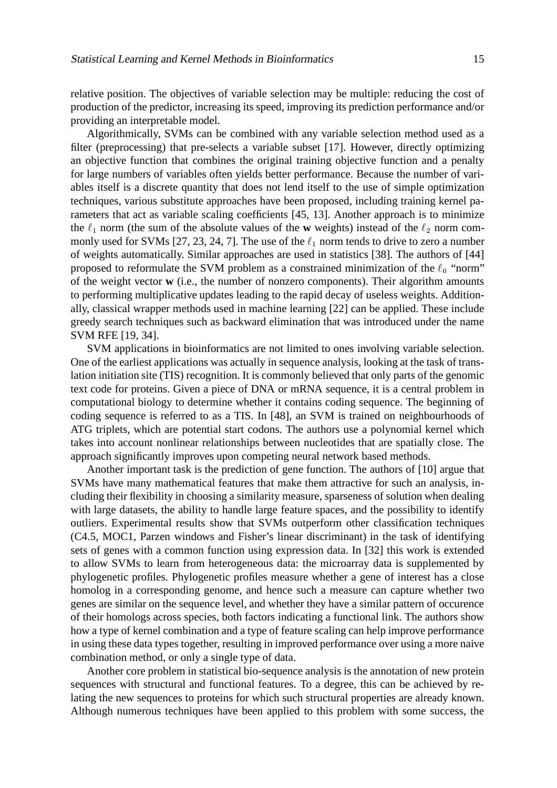relative position. The objectives of variable selection may be multiple: reducing the cost of production of the predictor, increasing its speed, improving its prediction performance and/or providing an interpretable model.

Algorithmically, SVMs can be combined with any variable selection method used as a filter (preprocessing) that pre-selects a variable subset [17]. However, directly optimizing an objective function that combines the original training objective function and a penalty for large numbers of variables often yields better performance. Because the number of variables itself is a discrete quantity that does not lend itself to the use of simple optimization techniques, various substitute approaches have been proposed, including training kernel parameters that act as variable scaling coefficients [45, 13]. Another approach is to minimize the  $\ell_1$  norm (the sum of the absolute values of the **w** weights) instead of the  $\ell_2$  norm commonly used for SVMs [27, 23, 24, 7]. The use of the  $\ell_1$  norm tends to drive to zero a number of weights automatically. Similar approaches are used in statistics [38]. The authors of [44] proposed to reformulate the SVM problem as a constrained minimization of the  $\ell_0$  "norm" of the weight vector **w** (i.e., the number of nonzero components). Their algorithm amounts to performing multiplicative updates leading to the rapid decay of useless weights. Additionally, classical wrapper methods used in machine learning [22] can be applied. These include greedy search techniques such as backward elimination that was introduced under the name SVM RFE [19, 34].

SVM applications in bioinformatics are not limited to ones involving variable selection. One of the earliest applications was actually in sequence analysis, looking at the task of translation initiation site (TIS) recognition. It is commonly believed that only parts of the genomic text code for proteins. Given a piece of DNA or mRNA sequence, it is a central problem in computational biology to determine whether it contains coding sequence. The beginning of coding sequence is referred to as a TIS. In [48], an SVM is trained on neighbourhoods of ATG triplets, which are potential start codons. The authors use a polynomial kernel which takes into account nonlinear relationships between nucleotides that are spatially close. The approach significantly improves upon competing neural network based methods.

Another important task is the prediction of gene function. The authors of [10] argue that SVMs have many mathematical features that make them attractive for such an analysis, including their flexibility in choosing a similarity measure, sparseness of solution when dealing with large datasets, the ability to handle large feature spaces, and the possibility to identify outliers. Experimental results show that SVMs outperform other classification techniques (C4.5, MOC1, Parzen windows and Fisher's linear discriminant) in the task of identifying sets of genes with a common function using expression data. In [32] this work is extended to allow SVMs to learn from heterogeneous data: the microarray data is supplemented by phylogenetic profiles. Phylogenetic profiles measure whether a gene of interest has a close homolog in a corresponding genome, and hence such a measure can capture whether two genes are similar on the sequence level, and whether they have a similar pattern of occurence of their homologs across species, both factors indicating a functional link. The authors show how a type of kernel combination and a type of feature scaling can help improve performance in using these data types together, resulting in improved performance over using a more naive combination method, or only a single type of data.

Another core problem in statistical bio-sequence analysis is the annotation of new protein sequences with structural and functional features. To a degree, this can be achieved by relating the new sequences to proteins for which such structural properties are already known. Although numerous techniques have been applied to this problem with some success, the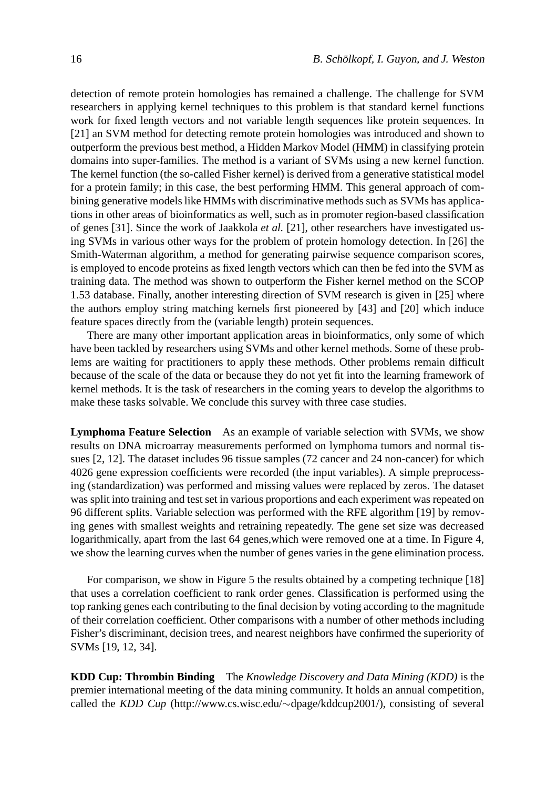detection of remote protein homologies has remained a challenge. The challenge for SVM researchers in applying kernel techniques to this problem is that standard kernel functions work for fixed length vectors and not variable length sequences like protein sequences. In [21] an SVM method for detecting remote protein homologies was introduced and shown to outperform the previous best method, a Hidden Markov Model (HMM) in classifying protein domains into super-families. The method is a variant of SVMs using a new kernel function. The kernel function (the so-called Fisher kernel) is derived from a generative statistical model for a protein family; in this case, the best performing HMM. This general approach of combining generative models like HMMs with discriminative methods such as SVMs has applications in other areas of bioinformatics as well, such as in promoter region-based classification of genes [31]. Since the work of Jaakkola *et al.* [21], other researchers have investigated using SVMs in various other ways for the problem of protein homology detection. In [26] the Smith-Waterman algorithm, a method for generating pairwise sequence comparison scores, is employed to encode proteins as fixed length vectors which can then be fed into the SVM as training data. The method was shown to outperform the Fisher kernel method on the SCOP 1.53 database. Finally, another interesting direction of SVM research is given in [25] where the authors employ string matching kernels first pioneered by [43] and [20] which induce feature spaces directly from the (variable length) protein sequences.

There are many other important application areas in bioinformatics, only some of which have been tackled by researchers using SVMs and other kernel methods. Some of these problems are waiting for practitioners to apply these methods. Other problems remain difficult because of the scale of the data or because they do not yet fit into the learning framework of kernel methods. It is the task of researchers in the coming years to develop the algorithms to make these tasks solvable. We conclude this survey with three case studies.

**Lymphoma Feature Selection** As an example of variable selection with SVMs, we show results on DNA microarray measurements performed on lymphoma tumors and normal tissues [2, 12]. The dataset includes 96 tissue samples (72 cancer and 24 non-cancer) for which 4026 gene expression coefficients were recorded (the input variables). A simple preprocessing (standardization) was performed and missing values were replaced by zeros. The dataset was split into training and test set in various proportions and each experiment was repeated on 96 different splits. Variable selection was performed with the RFE algorithm [19] by removing genes with smallest weights and retraining repeatedly. The gene set size was decreased logarithmically, apart from the last 64 genes, which were removed one at a time. In Figure 4, we show the learning curves when the number of genes varies in the gene elimination process.

For comparison, we show in Figure 5 the results obtained by a competing technique [18] that uses a correlation coefficient to rank order genes. Classification is performed using the top ranking genes each contributing to the final decision by voting according to the magnitude of their correlation coefficient. Other comparisons with a number of other methods including Fisher's discriminant, decision trees, and nearest neighbors have confirmed the superiority of SVMs [19, 12, 34].

**KDD Cup: Thrombin Binding** The *Knowledge Discovery and Data Mining (KDD)* is the premier international meeting of the data mining community. It holds an annual competition, called the *KDD Cup* (http://www.cs.wisc.edu/ dpage/kddcup2001/), consisting of several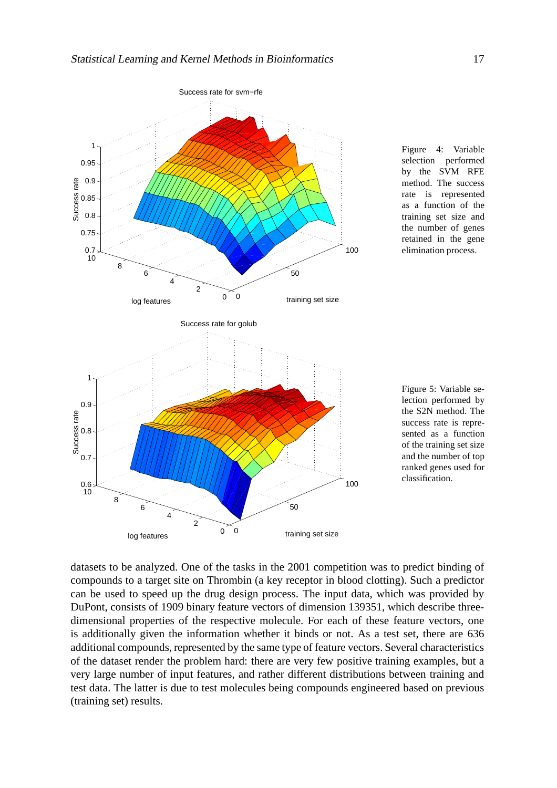

Figure 4: Variable selection performed by the SVM RFE method. The success rate is represented as a function of the training set size and the number of genes retained in the gene elimination process.

Figure 5: Variable selection performed by the S2N method. The success rate is represented as a function of the training set size and the number of top ranked genes used for classification.

datasets to be analyzed. One of the tasks in the 2001 competition was to predict binding of compounds to a target site on Thrombin (a key receptor in blood clotting). Such a predictor can be used to speed up the drug design process. The input data, which was provided by DuPont, consists of 1909 binary feature vectors of dimension 139351, which describe threedimensional properties of the respective molecule. For each of these feature vectors, one is additionally given the information whether it binds or not. As a test set, there are 636 additional compounds, represented by the same type of feature vectors. Several characteristics of the dataset render the problem hard: there are very few positive training examples, but a very large number of input features, and rather different distributions between training and test data. The latter is due to test molecules being compounds engineered based on previous (training set) results.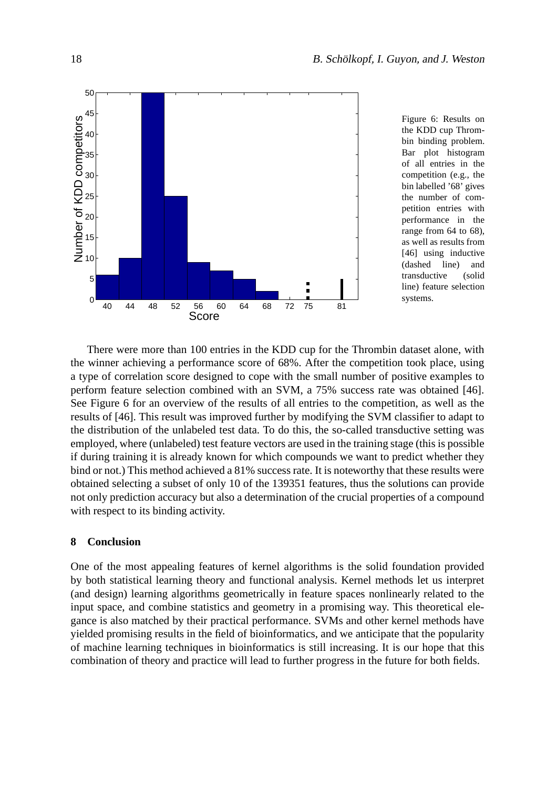

Figure 6: Results on the KDD cup Thrombin binding problem. Bar plot histogram of all entries in the competition (e.g., the bin labelled '68' gives the number of competition entries with performance in the range from 64 to 68), as well as results from [46] using inductive (dashed line) and transductive (solid line) feature selection systems.

There were more than 100 entries in the KDD cup for the Thrombin dataset alone, with the winner achieving a performance score of 68%. After the competition took place, using a type of correlation score designed to cope with the small number of positive examples to perform feature selection combined with an SVM, a 75% success rate was obtained [46]. See Figure 6 for an overview of the results of all entries to the competition, as well as the results of [46]. This result was improved further by modifying the SVM classifier to adapt to the distribution of the unlabeled test data. To do this, the so-called transductive setting was employed, where (unlabeled) test feature vectors are used in the training stage (this is possible if during training it is already known for which compounds we want to predict whether they bind or not.) This method achieved a 81% success rate. It is noteworthy that these results were obtained selecting a subset of only 10 of the 139351 features, thus the solutions can provide not only prediction accuracy but also a determination of the crucial properties of a compound with respect to its binding activity.

## **8 Conclusion**

One of the most appealing features of kernel algorithms is the solid foundation provided by both statistical learning theory and functional analysis. Kernel methods let us interpret (and design) learning algorithms geometrically in feature spaces nonlinearly related to the input space, and combine statistics and geometry in a promising way. This theoretical elegance is also matched by their practical performance. SVMs and other kernel methods have yielded promising results in the field of bioinformatics, and we anticipate that the popularity of machine learning techniques in bioinformatics is still increasing. It is our hope that this combination of theory and practice will lead to further progress in the future for both fields.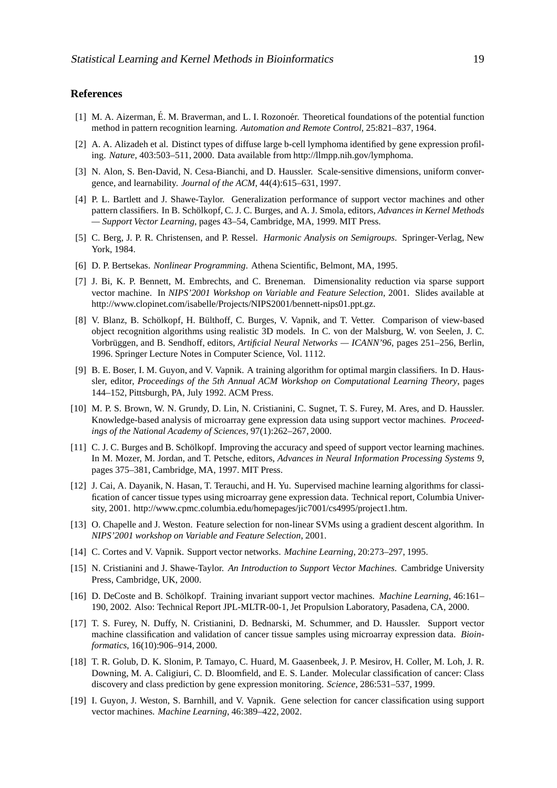#### **References**

- [1] M. A. Aizerman, É. M. Braverman, and L. I. Rozonoer. Theoretical foundations of the potential function method in pattern recognition learning. *Automation and Remote Control*, 25:821–837, 1964.
- [2] A. A. Alizadeh et al. Distinct types of diffuse large b-cell lymphoma identified by gene expression profiling. *Nature*, 403:503–511, 2000. Data available from http://llmpp.nih.gov/lymphoma.
- [3] N. Alon, S. Ben-David, N. Cesa-Bianchi, and D. Haussler. Scale-sensitive dimensions, uniform convergence, and learnability. *Journal of the ACM*, 44(4):615–631, 1997.
- [4] P. L. Bartlett and J. Shawe-Taylor. Generalization performance of support vector machines and other pattern classifiers. In B. Schölkopf, C. J. C. Burges, and A. J. Smola, editors, *Advances in Kernel Methods — Support Vector Learning*, pages 43–54, Cambridge, MA, 1999. MIT Press.
- [5] C. Berg, J. P. R. Christensen, and P. Ressel. *Harmonic Analysis on Semigroups*. Springer-Verlag, New York, 1984.
- [6] D. P. Bertsekas. *Nonlinear Programming*. Athena Scientific, Belmont, MA, 1995.
- [7] J. Bi, K. P. Bennett, M. Embrechts, and C. Breneman. Dimensionality reduction via sparse support vector machine. In *NIPS'2001 Workshop on Variable and Feature Selection*, 2001. Slides available at http://www.clopinet.com/isabelle/Projects/NIPS2001/bennett-nips01.ppt.gz.
- [8] V. Blanz, B. Schölkopf, H. Bülthoff, C. Burges, V. Vapnik, and T. Vetter. Comparison of view-based object recognition algorithms using realistic 3D models. In C. von der Malsburg, W. von Seelen, J. C. Vorbrüggen, and B. Sendhoff, editors, *Artificial Neural Networks* — *ICANN'96*, pages 251–256, Berlin, 1996. Springer Lecture Notes in Computer Science, Vol. 1112.
- [9] B. E. Boser, I. M. Guyon, and V. Vapnik. A training algorithm for optimal margin classifiers. In D. Haussler, editor, *Proceedings of the 5th Annual ACM Workshop on Computational Learning Theory*, pages 144–152, Pittsburgh, PA, July 1992. ACM Press.
- [10] M. P. S. Brown, W. N. Grundy, D. Lin, N. Cristianini, C. Sugnet, T. S. Furey, M. Ares, and D. Haussler. Knowledge-based analysis of microarray gene expression data using support vector machines. *Proceedings of the National Academy of Sciences*, 97(1):262–267, 2000.
- [11] C. J. C. Burges and B. Schölkopf. Improving the accuracy and speed of support vector learning machines. In M. Mozer, M. Jordan, and T. Petsche, editors, *Advances in Neural Information Processing Systems 9*, pages 375–381, Cambridge, MA, 1997. MIT Press.
- [12] J. Cai, A. Dayanik, N. Hasan, T. Terauchi, and H. Yu. Supervised machine learning algorithms for classification of cancer tissue types using microarray gene expression data. Technical report, Columbia University, 2001. http://www.cpmc.columbia.edu/homepages/jic7001/cs4995/project1.htm.
- [13] O. Chapelle and J. Weston. Feature selection for non-linear SVMs using a gradient descent algorithm. In *NIPS'2001 workshop on Variable and Feature Selection*, 2001.
- [14] C. Cortes and V. Vapnik. Support vector networks. *Machine Learning*, 20:273–297, 1995.
- [15] N. Cristianini and J. Shawe-Taylor. *An Introduction to Support Vector Machines*. Cambridge University Press, Cambridge, UK, 2000.
- [16] D. DeCoste and B. Schölkopf. Training invariant support vector machines. *Machine Learning*, 46:161– 190, 2002. Also: Technical Report JPL-MLTR-00-1, Jet Propulsion Laboratory, Pasadena, CA, 2000.
- [17] T. S. Furey, N. Duffy, N. Cristianini, D. Bednarski, M. Schummer, and D. Haussler. Support vector machine classification and validation of cancer tissue samples using microarray expression data. *Bioinformatics*, 16(10):906–914, 2000.
- [18] T. R. Golub, D. K. Slonim, P. Tamayo, C. Huard, M. Gaasenbeek, J. P. Mesirov, H. Coller, M. Loh, J. R. Downing, M. A. Caligiuri, C. D. Bloomfield, and E. S. Lander. Molecular classification of cancer: Class discovery and class prediction by gene expression monitoring. *Science*, 286:531–537, 1999.
- [19] I. Guyon, J. Weston, S. Barnhill, and V. Vapnik. Gene selection for cancer classification using support vector machines. *Machine Learning*, 46:389–422, 2002.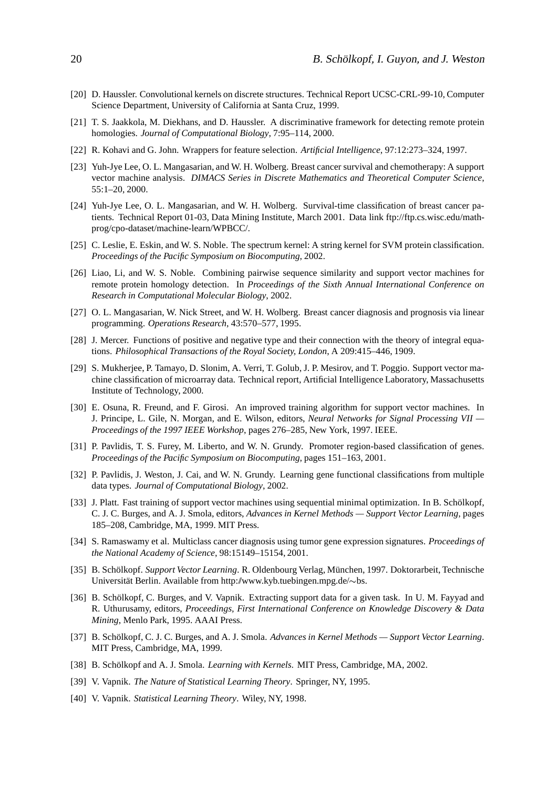- [20] D. Haussler. Convolutional kernels on discrete structures. Technical Report UCSC-CRL-99-10, Computer Science Department, University of California at Santa Cruz, 1999.
- [21] T. S. Jaakkola, M. Diekhans, and D. Haussler. A discriminative framework for detecting remote protein homologies. *Journal of Computational Biology*, 7:95–114, 2000.
- [22] R. Kohavi and G. John. Wrappers for feature selection. *Artificial Intelligence*, 97:12:273–324, 1997.
- [23] Yuh-Jye Lee, O. L. Mangasarian, and W. H. Wolberg. Breast cancer survival and chemotherapy: A support vector machine analysis. *DIMACS Series in Discrete Mathematics and Theoretical Computer Science*, 55:1–20, 2000.
- [24] Yuh-Jye Lee, O. L. Mangasarian, and W. H. Wolberg. Survival-time classification of breast cancer patients. Technical Report 01-03, Data Mining Institute, March 2001. Data link ftp://ftp.cs.wisc.edu/mathprog/cpo-dataset/machine-learn/WPBCC/.
- [25] C. Leslie, E. Eskin, and W. S. Noble. The spectrum kernel: A string kernel for SVM protein classification. *Proceedings of the Pacific Symposium on Biocomputing*, 2002.
- [26] Liao, Li, and W. S. Noble. Combining pairwise sequence similarity and support vector machines for remote protein homology detection. In *Proceedings of the Sixth Annual International Conference on Research in Computational Molecular Biology*, 2002.
- [27] O. L. Mangasarian, W. Nick Street, and W. H. Wolberg. Breast cancer diagnosis and prognosis via linear programming. *Operations Research*, 43:570–577, 1995.
- [28] J. Mercer. Functions of positive and negative type and their connection with the theory of integral equations. *Philosophical Transactions of the Royal Society, London*, A 209:415–446, 1909.
- [29] S. Mukherjee, P. Tamayo, D. Slonim, A. Verri, T. Golub, J. P. Mesirov, and T. Poggio. Support vector machine classification of microarray data. Technical report, Artificial Intelligence Laboratory, Massachusetts Institute of Technology, 2000.
- [30] E. Osuna, R. Freund, and F. Girosi. An improved training algorithm for support vector machines. In J. Principe, L. Gile, N. Morgan, and E. Wilson, editors, *Neural Networks for Signal Processing VII — Proceedings of the 1997 IEEE Workshop*, pages 276–285, New York, 1997. IEEE.
- [31] P. Pavlidis, T. S. Furey, M. Liberto, and W. N. Grundy. Promoter region-based classification of genes. *Proceedings of the Pacific Symposium on Biocomputing*, pages 151–163, 2001.
- [32] P. Pavlidis, J. Weston, J. Cai, and W. N. Grundy. Learning gene functional classifications from multiple data types. *Journal of Computational Biology*, 2002.
- [33] J. Platt. Fast training of support vector machines using sequential minimal optimization. In B. Schölkopf, C. J. C. Burges, and A. J. Smola, editors, *Advances in Kernel Methods — Support Vector Learning*, pages 185–208, Cambridge, MA, 1999. MIT Press.
- [34] S. Ramaswamy et al. Multiclass cancer diagnosis using tumor gene expression signatures. *Proceedings of the National Academy of Science*, 98:15149–15154, 2001.
- [35] B. Schölkopf. *Support Vector Learning*. R. Oldenbourg Verlag, München, 1997. Doktorarbeit, Technische Universität Berlin. Available from http://www.kyb.tuebingen.mpg.de/~bs.
- [36] B. Schölkopf, C. Burges, and V. Vapnik. Extracting support data for a given task. In U. M. Fayyad and R. Uthurusamy, editors, *Proceedings, First International Conference on Knowledge Discovery & Data Mining*, Menlo Park, 1995. AAAI Press.
- [37] B. Schölkopf, C. J. C. Burges, and A. J. Smola. *Advances in Kernel Methods Support Vector Learning*. MIT Press, Cambridge, MA, 1999.
- [38] B. Schölkopf and A. J. Smola. *Learning with Kernels*. MIT Press, Cambridge, MA, 2002.
- [39] V. Vapnik. *The Nature of Statistical Learning Theory*. Springer, NY, 1995.
- [40] V. Vapnik. *Statistical Learning Theory*. Wiley, NY, 1998.